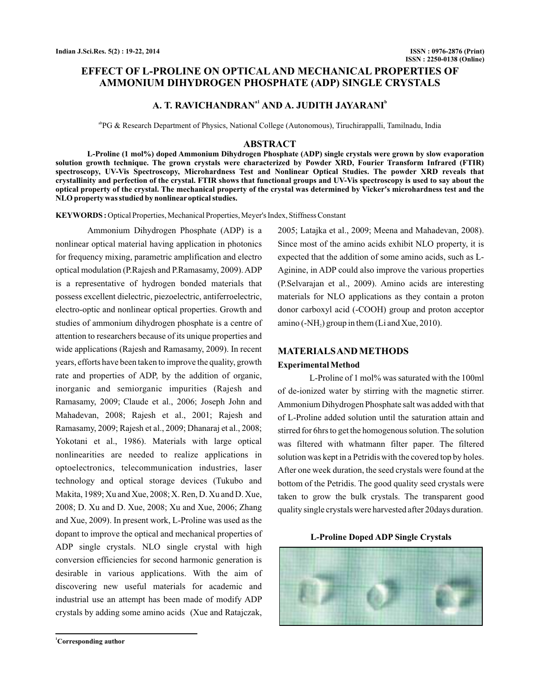## **EFFECT OF L-PROLINE ON OPTICAL AND MECHANICAL PROPERTIES OF AMMONIUM DIHYDROGEN PHOSPHATE (ADP) SINGLE CRYSTALS**

## **A. T. RAVICHANDRAN<sup>a1</sup> AND A. JUDITH JAYARANI<sup>b</sup>**

abPG & Research Department of Physics, National College (Autonomous), Tiruchirappalli, Tamilnadu, India

#### **ABSTRACT**

**L-Proline (1 mol%) doped Ammonium Dihydrogen Phosphate (ADP) single crystals were grown by slow evaporation solution growth technique. The grown crystals were characterized by Powder XRD, Fourier Transform Infrared (FTIR) spectroscopy, UV-Vis Spectroscopy, Microhardness Test and Nonlinear Optical Studies. The powder XRD reveals that crystallinity and perfection of the crystal. FTIR shows that functional groups and UV-Vis spectroscopy is used to say about the optical property of the crystal. The mechanical property of the crystal was determined by Vicker's microhardness test and the NLO property was studied by nonlinear optical studies.**

**KEYWORDS :** Optical Properties, Mechanical Properties, Meyer's Index, Stiffness Constant

Ammonium Dihydrogen Phosphate (ADP) is a nonlinear optical material having application in photonics for frequency mixing, parametric amplification and electro optical modulation (P.Rajesh and P.Ramasamy, 2009). ADP is a representative of hydrogen bonded materials that possess excellent dielectric, piezoelectric, antiferroelectric, electro-optic and nonlinear optical properties. Growth and studies of ammonium dihydrogen phosphate is a centre of attention to researchers because of its unique properties and wide applications (Rajesh and Ramasamy, 2009). In recent years, efforts have been taken to improve the quality, growth rate and properties of ADP, by the addition of organic, inorganic and semiorganic impurities (Rajesh and Ramasamy, 2009; Claude et al., 2006; Joseph John and Mahadevan, 2008; Rajesh et al., 2001; Rajesh and Ramasamy, 2009; Rajesh et al., 2009; Dhanaraj et al., 2008; Yokotani et al., 1986). Materials with large optical nonlinearities are needed to realize applications in optoelectronics, telecommunication industries, laser technology and optical storage devices (Tukubo and Makita, 1989; Xu and Xue, 2008; X. Ren, D. Xu and D. Xue, 2008; D. Xu and D. Xue, 2008; Xu and Xue, 2006; Zhang and Xue, 2009). In present work, L-Proline was used as the dopant to improve the optical and mechanical properties of ADP single crystals. NLO single crystal with high conversion efficiencies for second harmonic generation is desirable in various applications. With the aim of discovering new useful materials for academic and industrial use an attempt has been made of modify ADP crystals by adding some amino acids (Xue and Ratajczak,

2005; Latajka et al., 2009; Meena and Mahadevan, 2008). Since most of the amino acids exhibit NLO property, it is expected that the addition of some amino acids, such as L-Aginine, in ADP could also improve the various properties (P.Selvarajan et al., 2009). Amino acids are interesting materials for NLO applications as they contain a proton donor carboxyl acid (-COOH) group and proton acceptor  $\text{amino}(-\text{NH}_2)$  group in them (Li and Xue, 2010).

## **MATERIALSAND METHODS Experimental Method**

L-Proline of 1 mol% was saturated with the 100ml of de-ionized water by stirring with the magnetic stirrer. Ammonium Dihydrogen Phosphate salt was added with that of L-Proline added solution until the saturation attain and stirred for 6hrs to get the homogenous solution. The solution was filtered with whatmann filter paper. The filtered solution was kept in a Petridis with the covered top by holes. After one week duration, the seed crystals were found at the bottom of the Petridis. The good quality seed crystals were taken to grow the bulk crystals. The transparent good quality single crystals were harvested after 20days duration.



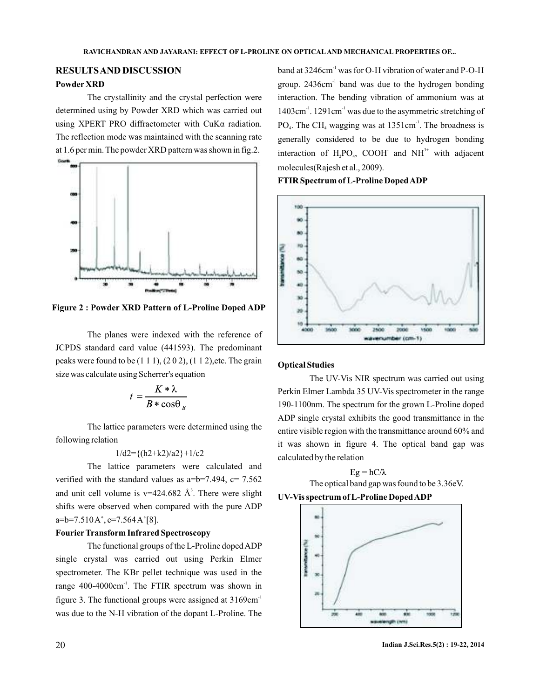# **RESULTSAND DISCUSSION**

## **Powder XRD**

The reflection mode was maintained with the scanning rate at 1.6 per min. The powder XRD pattern was shown in fig.2. The crystallinity and the crystal perfection were determined using by Powder XRD which was carried out using XPERT PRO diffractometer with CuKα radiation.



**Figure 2 : Powder XRD Pattern of L-Proline Doped ADP**

The planes were indexed with the reference of JCPDS standard card value (441593). The predominant peaks were found to be  $(1 1 1)$ ,  $(2 0 2)$ ,  $(1 1 2)$ , etc. The grain size was calculate using Scherrer's equation

$$
t = \frac{K * \lambda}{B * \cos \theta_B}
$$

The lattice parameters were determined using the following relation

#### $1/\text{d}2 = \{(h2+h2)/a2\} + 1/c2$

The lattice parameters were calculated and verified with the standard values as  $a=b=7.494$ ,  $c= 7.562$ and unit cell volume is  $v=424.682 \text{ Å}^3$ . There were slight shifts were observed when compared with the pure ADP  $a=b=7.510A^{\circ}, c=7.564A^{\circ}[8].$ 

### **FourierTransform Infrared Spectroscopy**

The functional groups of the L-Proline doped ADP single crystal was carried out using Perkin Elmer spectrometer. The KBr pellet technique was used in the range 400-4000cm<sup>-1</sup>. The FTIR spectrum was shown in figure 3. The functional groups were assigned at  $3169 \text{cm}^{-1}$ was due to the N-H vibration of the dopant L-Proline. The

band at 3246cm<sup>-1</sup> was for O-H vibration of water and P-O-H group. 2436cm<sup>-1</sup> band was due to the hydrogen bonding interaction. The bending vibration of ammonium was at  $1403 \text{cm}^{-1}$ .  $1291 \text{cm}^{-1}$  was due to the asymmetric stretching of  $PO_4$ . The CH<sub>4</sub> wagging was at 1351cm<sup>-1</sup>. The broadness is generally considered to be due to hydrogen bonding interaction of  $H_2PO_4$ , COOH and NH<sup>3+</sup> with adjacent molecules(Rajesh et al., 2009).

**FTIR Spectrum of L-Proline DopedADP**



### **Optical Studies**

The UV-Vis NIR spectrum was carried out using Perkin Elmer Lambda 35 UV-Vis spectrometer in the range 190-1100nm. The spectrum for the grown L-Proline doped ADP single crystal exhibits the good transmittance in the entire visible region with the transmittance around 60% and it was shown in figure 4. The optical band gap was calculated by the relation

 $Eg = hC/\lambda$ The optical band gap was found to be 3.36eV. **UV-Vis spectrum of L-Proline DopedADP**

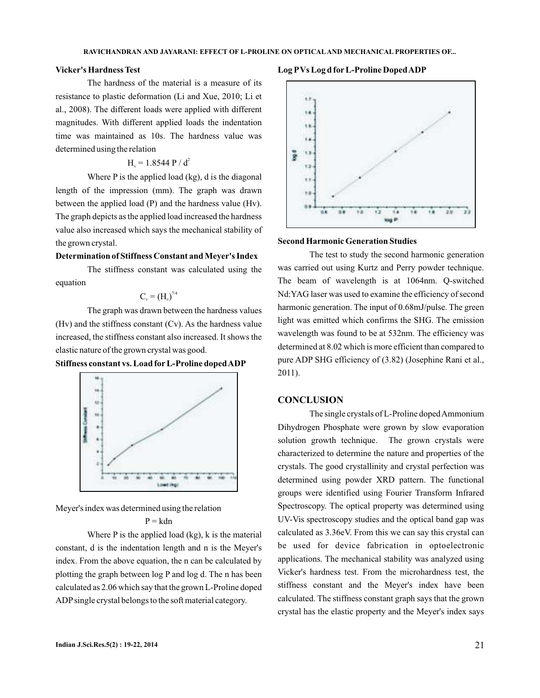#### **Vicker's Hardness Test**

The hardness of the material is a measure of its resistance to plastic deformation (Li and Xue, 2010; Li et al., 2008). The different loads were applied with different magnitudes. With different applied loads the indentation time was maintained as 10s. The hardness value was determined using the relation

## $H_v = 1.8544 P / d^2$

Where P is the applied load (kg), d is the diagonal length of the impression (mm). The graph was drawn between the applied load (P) and the hardness value (Hv). The graph depicts as the applied load increased the hardness value also increased which says the mechanical stability of the grown crystal.

### **Determination of Stiffness Constant and Meyer's Index**

The stiffness constant was calculated using the equation

$$
C_v = (H_v)^{7/4}
$$

The graph was drawn between the hardness values (Hv) and the stiffness constant (Cv). As the hardness value increased, the stiffness constant also increased. It shows the elastic nature of the grown crystal was good.





Meyer's index was determined using the relation

 $P = kdn$ 

Where P is the applied load (kg), k is the material constant, d is the indentation length and n is the Meyer's index. From the above equation, the n can be calculated by plotting the graph between log P and log d. The n has been calculated as 2.06 which say that the grown L-Proline doped ADP single crystal belongs to the soft material category.

#### **Log PVs Log d for L-Proline DopedADP**



#### **Second Harmonic Generation Studies**

The test to study the second harmonic generation was carried out using Kurtz and Perry powder technique. The beam of wavelength is at 1064nm. Q-switched Nd:YAG laser was used to examine the efficiency of second harmonic generation. The input of 0.68mJ/pulse. The green light was emitted which confirms the SHG. The emission wavelength was found to be at 532nm. The efficiency was determined at 8.02 which is more efficient than compared to pure ADP SHG efficiency of (3.82) (Josephine Rani et al., 2011).

### **CONCLUSION**

The single crystals of L-Proline dopedAmmonium Dihydrogen Phosphate were grown by slow evaporation solution growth technique. The grown crystals were characterized to determine the nature and properties of the crystals. The good crystallinity and crystal perfection was determined using powder XRD pattern. The functional groups were identified using Fourier Transform Infrared Spectroscopy. The optical property was determined using UV-Vis spectroscopy studies and the optical band gap was calculated as 3.36eV. From this we can say this crystal can be used for device fabrication in optoelectronic applications. The mechanical stability was analyzed using Vicker's hardness test. From the microhardness test, the stiffness constant and the Meyer's index have been calculated. The stiffness constant graph says that the grown crystal has the elastic property and the Meyer's index says